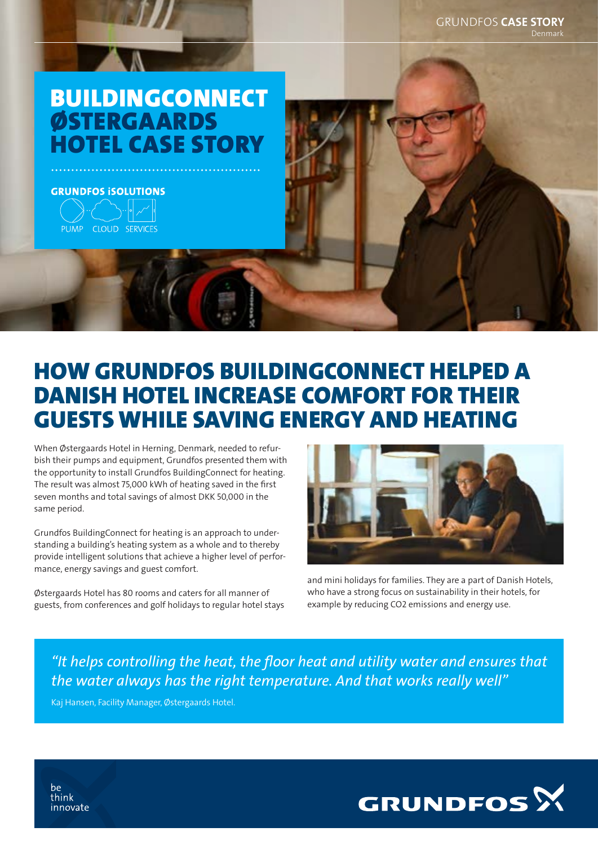

## HOW GRUNDFOS BUILDINGCONNECT HELPED A DANISH HOTEL INCREASE COMFORT FOR THEIR GUESTS WHILE SAVING ENERGY AND HEATING

When Østergaards Hotel in Herning, Denmark, needed to refurbish their pumps and equipment, Grundfos presented them with the opportunity to install Grundfos BuildingConnect for heating. The result was almost 75,000 kWh of heating saved in the first seven months and total savings of almost DKK 50,000 in the same period.

Grundfos BuildingConnect for heating is an approach to understanding a building's heating system as a whole and to thereby provide intelligent solutions that achieve a higher level of performance, energy savings and guest comfort.

Østergaards Hotel has 80 rooms and caters for all manner of guests, from conferences and golf holidays to regular hotel stays



and mini holidays for families. They are a part of Danish Hotels, who have a strong focus on sustainability in their hotels, for example by reducing CO2 emissions and energy use.

*"It helps controlling the heat, the floor heat and utility water and ensures that the water always has the right temperature. And that works really well"* 

Kaj Hansen, Facility Manager, Østergaards Hotel.



be think innovate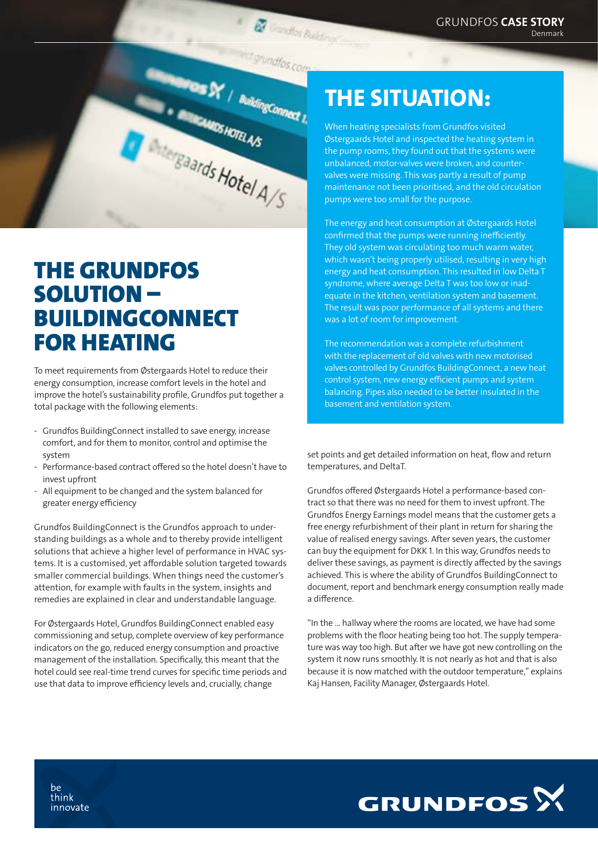

## THE GRUNDFOS SOLUTION – BUILDINGCONNECT FOR HEATING

To meet requirements from Østergaards Hotel to reduce their energy consumption, increase comfort levels in the hotel and improve the hotel's sustainability profile, Grundfos put together a total package with the following elements:

- Grundfos BuildingConnect installed to save energy, increase comfort, and for them to monitor, control and optimise the system
- Performance-based contract offered so the hotel doesn't have to invest upfront
- All equipment to be changed and the system balanced for greater energy efficiency

Grundfos BuildingConnect is the Grundfos approach to understanding buildings as a whole and to thereby provide intelligent solutions that achieve a higher level of performance in HVAC systems. It is a customised, yet affordable solution targeted towards smaller commercial buildings. When things need the customer's attention, for example with faults in the system, insights and remedies are explained in clear and understandable language.

For Østergaards Hotel, Grundfos BuildingConnect enabled easy commissioning and setup, complete overview of key performance indicators on the go, reduced energy consumption and proactive management of the installation. Specifically, this meant that the hotel could see real-time trend curves for specific time periods and use that data to improve efficiency levels and, crucially, change

## THE SITUATION:

When heating specialists from Grundfos visited Østergaards Hotel and inspected the heating system in the pump rooms, they found out that the systems were unbalanced, motor-valves were broken, and countervalves were missing. This was partly a result of pump maintenance not been prioritised, and the old circulation pumps were too small for the purpose.

The energy and heat consumption at Østergaards Hotel confirmed that the pumps were running inefficiently. They old system was circulating too much warm water, which wasn't being properly utilised, resulting in very high energy and heat consumption. This resulted in low Delta T syndrome, where average Delta T was too low or inadequate in the kitchen, ventilation system and basement. The result was poor performance of all systems and there was a lot of room for improvement.

The recommendation was a complete refurbishment with the replacement of old valves with new motorised valves controlled by Grundfos BuildingConnect, a new heat control system, new energy efficient pumps and system balancing. Pipes also needed to be better insulated in the basement and ventilation system.

set points and get detailed information on heat, flow and return temperatures, and DeltaT.

Grundfos offered Østergaards Hotel a performance-based contract so that there was no need for them to invest upfront. The Grundfos Energy Earnings model means that the customer gets a free energy refurbishment of their plant in return for sharing the value of realised energy savings. After seven years, the customer can buy the equipment for DKK 1. In this way, Grundfos needs to deliver these savings, as payment is directly affected by the savings achieved. This is where the ability of Grundfos BuildingConnect to document, report and benchmark energy consumption really made a difference.

"In the … hallway where the rooms are located, we have had some problems with the floor heating being too hot. The supply temperature was way too high. But after we have got new controlling on the system it now runs smoothly. It is not nearly as hot and that is also because it is now matched with the outdoor temperature," explains Kaj Hansen, Facility Manager, Østergaards Hotel.



 $he$ think innovate